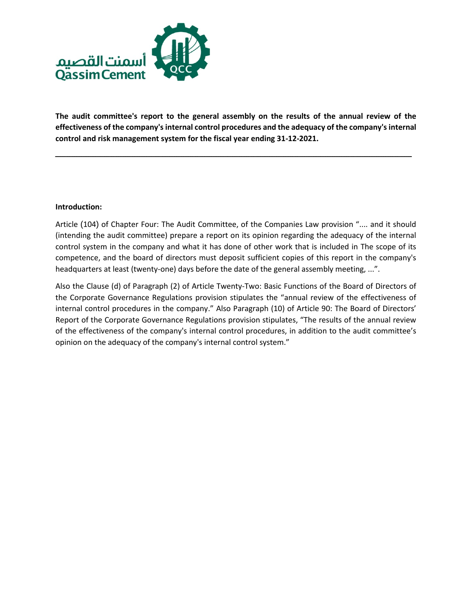

**The audit committee's report to the general assembly on the results of the annual review of the effectiveness of the company's internal control procedures and the adequacy of the company's internal control and risk management system for the fiscal year ending 31-12-2021.**

ـــــــــــــــــــــــــــــــــــــــــــــــــــــــــــــــــــــــــــــــــــــــــــــــــــــــــــــــــــــــــــــــــــــــــــــــــــــــــــــــــــــــــــــــــــــــــــــــــــــــــــ

#### **Introduction:**

Article (104) of Chapter Four: The Audit Committee, of the Companies Law provision ".... and it should (intending the audit committee) prepare a report on its opinion regarding the adequacy of the internal control system in the company and what it has done of other work that is included in The scope of its competence, and the board of directors must deposit sufficient copies of this report in the company's headquarters at least (twenty-one) days before the date of the general assembly meeting, ...".

Also the Clause (d) of Paragraph (2) of Article Twenty-Two: Basic Functions of the Board of Directors of the Corporate Governance Regulations provision stipulates the "annual review of the effectiveness of internal control procedures in the company." Also Paragraph (10) of Article 90: The Board of Directors' Report of the Corporate Governance Regulations provision stipulates, "The results of the annual review of the effectiveness of the company's internal control procedures, in addition to the audit committee's opinion on the adequacy of the company's internal control system."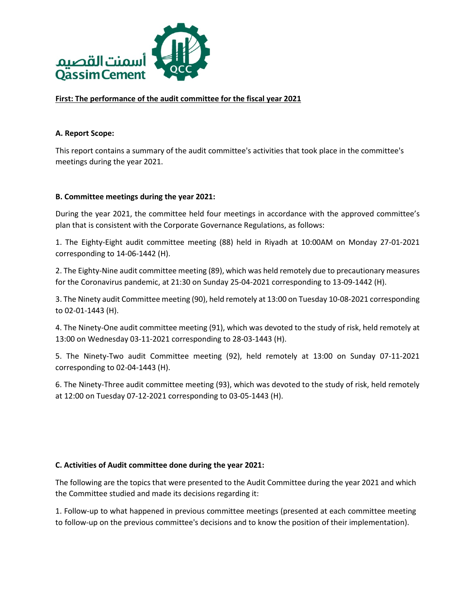

**First: The performance of the audit committee for the fiscal year 2021**

### **A. Report Scope:**

This report contains a summary of the audit committee's activities that took place in the committee's meetings during the year 2021.

## **B. Committee meetings during the year 2021:**

During the year 2021, the committee held four meetings in accordance with the approved committee's plan that is consistent with the Corporate Governance Regulations, as follows:

1. The Eighty-Eight audit committee meeting (88) held in Riyadh at 10:00AM on Monday 27-01-2021 corresponding to 14-06-1442 (H).

2. The Eighty-Nine audit committee meeting (89), which was held remotely due to precautionary measures for the Coronavirus pandemic, at 21:30 on Sunday 25-04-2021 corresponding to 13-09-1442 (H).

3. The Ninety audit Committee meeting (90), held remotely at 13:00 on Tuesday 10-08-2021 corresponding to 02-01-1443 (H).

4. The Ninety-One audit committee meeting (91), which was devoted to the study of risk, held remotely at 13:00 on Wednesday 03-11-2021 corresponding to 28-03-1443 (H).

5. The Ninety-Two audit Committee meeting (92), held remotely at 13:00 on Sunday 07-11-2021 corresponding to 02-04-1443 (H).

6. The Ninety-Three audit committee meeting (93), which was devoted to the study of risk, held remotely at 12:00 on Tuesday 07-12-2021 corresponding to 03-05-1443 (H).

#### **C. Activities of Audit committee done during the year 2021:**

The following are the topics that were presented to the Audit Committee during the year 2021 and which the Committee studied and made its decisions regarding it:

1. Follow-up to what happened in previous committee meetings (presented at each committee meeting to follow-up on the previous committee's decisions and to know the position of their implementation).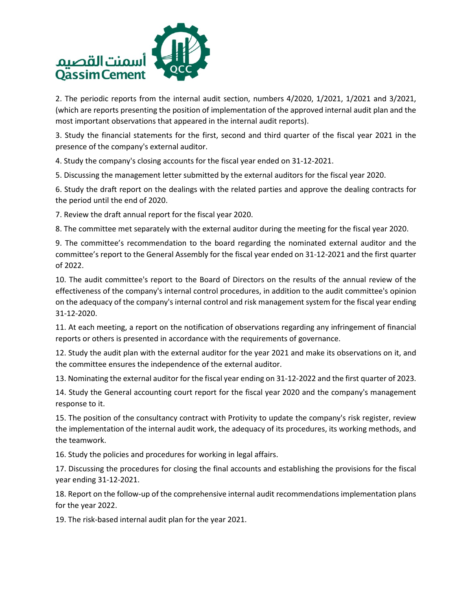

2. The periodic reports from the internal audit section, numbers 4/2020, 1/2021, 1/2021 and 3/2021, (which are reports presenting the position of implementation of the approved internal audit plan and the most important observations that appeared in the internal audit reports).

3. Study the financial statements for the first, second and third quarter of the fiscal year 2021 in the presence of the company's external auditor.

4. Study the company's closing accounts for the fiscal year ended on 31-12-2021.

5. Discussing the management letter submitted by the external auditors for the fiscal year 2020.

6. Study the draft report on the dealings with the related parties and approve the dealing contracts for the period until the end of 2020.

7. Review the draft annual report for the fiscal year 2020.

8. The committee met separately with the external auditor during the meeting for the fiscal year 2020.

9. The committee's recommendation to the board regarding the nominated external auditor and the committee's report to the General Assembly for the fiscal year ended on 31-12-2021 and the first quarter of 2022.

10. The audit committee's report to the Board of Directors on the results of the annual review of the effectiveness of the company's internal control procedures, in addition to the audit committee's opinion on the adequacy of the company's internal control and risk management system for the fiscal year ending 31-12-2020.

11. At each meeting, a report on the notification of observations regarding any infringement of financial reports or others is presented in accordance with the requirements of governance.

12. Study the audit plan with the external auditor for the year 2021 and make its observations on it, and the committee ensures the independence of the external auditor.

13. Nominating the external auditor for the fiscal year ending on 31-12-2022 and the first quarter of 2023.

14. Study the General accounting court report for the fiscal year 2020 and the company's management response to it.

15. The position of the consultancy contract with Protivity to update the company's risk register, review the implementation of the internal audit work, the adequacy of its procedures, its working methods, and the teamwork.

16. Study the policies and procedures for working in legal affairs.

17. Discussing the procedures for closing the final accounts and establishing the provisions for the fiscal year ending 31-12-2021.

18. Report on the follow-up of the comprehensive internal audit recommendations implementation plans for the year 2022.

19. The risk-based internal audit plan for the year 2021.